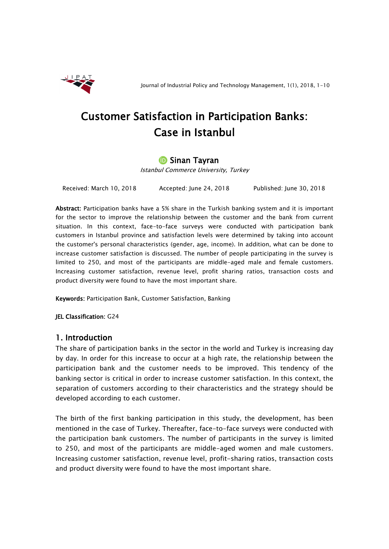

# Customer Satisfaction in Participation Banks: Case in Istanbul

## **D** Sinan Tayran

Istanbul Commerce University, Turkey

Received: March 10, 2018 Accepted: June 24, 2018 Published: June 30, 2018

Abstract: Participation banks have a 5% share in the Turkish banking system and it is important for the sector to improve the relationship between the customer and the bank from current situation. In this context, face-to-face surveys were conducted with participation bank customers in Istanbul province and satisfaction levels were determined by taking into account the customer's personal characteristics (gender, age, income). In addition, what can be done to increase customer satisfaction is discussed. The number of people participating in the survey is limited to 250, and most of the participants are middle-aged male and female customers. Increasing customer satisfaction, revenue level, profit sharing ratios, transaction costs and product diversity were found to have the most important share.

Keywords: Participation Bank, Customer Satisfaction, Banking

JEL Classification: G24

## 1. Introduction

The share of participation banks in the sector in the world and Turkey is increasing day by day. In order for this increase to occur at a high rate, the relationship between the participation bank and the customer needs to be improved. This tendency of the banking sector is critical in order to increase customer satisfaction. In this context, the separation of customers according to their characteristics and the strategy should be developed according to each customer.

The birth of the first banking participation in this study, the development, has been mentioned in the case of Turkey. Thereafter, face-to-face surveys were conducted with the participation bank customers. The number of participants in the survey is limited to 250, and most of the participants are middle-aged women and male customers. Increasing customer satisfaction, revenue level, profit-sharing ratios, transaction costs and product diversity were found to have the most important share.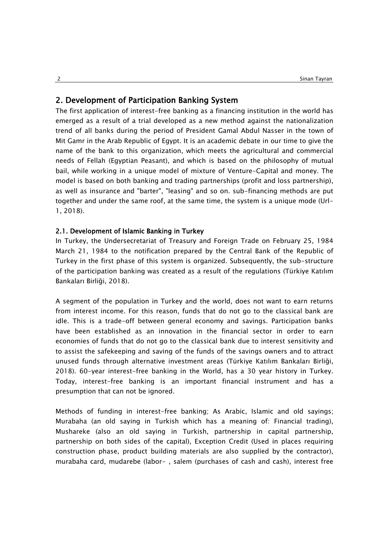## 2. Development of Participation Banking System

The first application of interest-free banking as a financing institution in the world has emerged as a result of a trial developed as a new method against the nationalization trend of all banks during the period of President Gamal Abdul Nasser in the town of Mit Gamr in the Arab Republic of Egypt. It is an academic debate in our time to give the name of the bank to this organization, which meets the agricultural and commercial needs of Fellah (Egyptian Peasant), and which is based on the philosophy of mutual bail, while working in a unique model of mixture of Venture-Capital and money. The model is based on both banking and trading partnerships (profit and loss partnership), as well as insurance and "barter", "leasing" and so on. sub-financing methods are put together and under the same roof, at the same time, the system is a unique mode (Url-1, 2018).

## 2.1. Development of Islamic Banking in Turkey

In Turkey, the Undersecretariat of Treasury and Foreign Trade on February 25, 1984 March 21, 1984 to the notification prepared by the Central Bank of the Republic of Turkey in the first phase of this system is organized. Subsequently, the sub-structure of the participation banking was created as a result of the regulations (Türkiye Katılım Bankaları Birliği, 2018).

A segment of the population in Turkey and the world, does not want to earn returns from interest income. For this reason, funds that do not go to the classical bank are idle. This is a trade-off between general economy and savings. Participation banks have been established as an innovation in the financial sector in order to earn economies of funds that do not go to the classical bank due to interest sensitivity and to assist the safekeeping and saving of the funds of the savings owners and to attract unused funds through alternative investment areas (Türkiye Katılım Bankaları Birliği, 2018). 60-year interest-free banking in the World, has a 30 year history in Turkey. Today, interest-free banking is an important financial instrument and has a presumption that can not be ignored.

Methods of funding in interest-free banking; As Arabic, Islamic and old sayings; Murabaha (an old saying in Turkish which has a meaning of: Financial trading), Mushareke (also an old saying in Turkish, partnership in capital partnership, partnership on both sides of the capital), Exception Credit (Used in places requiring construction phase, product building materials are also supplied by the contractor), murabaha card, mudarebe (labor- , salem (purchases of cash and cash), interest free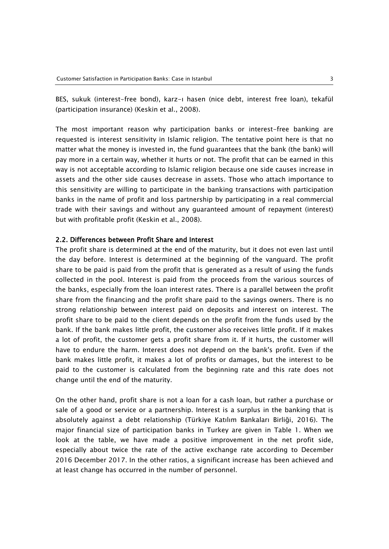BES, sukuk (interest-free bond), karz-ı hasen (nice debt, interest free loan), tekafül (participation insurance) (Keskin et al., 2008).

The most important reason why participation banks or interest-free banking are requested is interest sensitivity in Islamic religion. The tentative point here is that no matter what the money is invested in, the fund guarantees that the bank (the bank) will pay more in a certain way, whether it hurts or not. The profit that can be earned in this way is not acceptable according to Islamic religion because one side causes increase in assets and the other side causes decrease in assets. Those who attach importance to this sensitivity are willing to participate in the banking transactions with participation banks in the name of profit and loss partnership by participating in a real commercial trade with their savings and without any guaranteed amount of repayment (interest) but with profitable profit (Keskin et al., 2008).

#### 2.2. Differences between Profit Share and Interest

The profit share is determined at the end of the maturity, but it does not even last until the day before. Interest is determined at the beginning of the vanguard. The profit share to be paid is paid from the profit that is generated as a result of using the funds collected in the pool. Interest is paid from the proceeds from the various sources of the banks, especially from the loan interest rates. There is a parallel between the profit share from the financing and the profit share paid to the savings owners. There is no strong relationship between interest paid on deposits and interest on interest. The profit share to be paid to the client depends on the profit from the funds used by the bank. If the bank makes little profit, the customer also receives little profit. If it makes a lot of profit, the customer gets a profit share from it. If it hurts, the customer will have to endure the harm. Interest does not depend on the bank's profit. Even if the bank makes little profit, it makes a lot of profits or damages, but the interest to be paid to the customer is calculated from the beginning rate and this rate does not change until the end of the maturity.

On the other hand, profit share is not a loan for a cash loan, but rather a purchase or sale of a good or service or a partnership. Interest is a surplus in the banking that is absolutely against a debt relationship (Türkiye Katılım Bankaları Birliği, 2016). The major financial size of participation banks in Turkey are given in Table 1. When we look at the table, we have made a positive improvement in the net profit side, especially about twice the rate of the active exchange rate according to December 2016 December 2017. In the other ratios, a significant increase has been achieved and at least change has occurred in the number of personnel.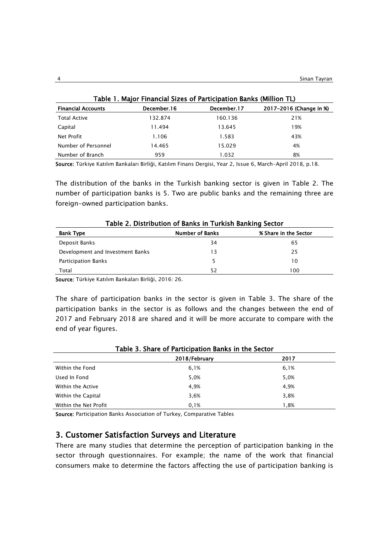| Table 1. Major Financial Sizes of Participation Banks (Million TL) |             |             |                         |  |  |
|--------------------------------------------------------------------|-------------|-------------|-------------------------|--|--|
| <b>Financial Accounts</b>                                          | December 16 | December.17 | 2017-2016 (Change in %) |  |  |
| <b>Total Active</b>                                                | 132.874     | 160.136     | 21%                     |  |  |
| Capital                                                            | 11.494      | 13.645      | 19%                     |  |  |
| Net Profit                                                         | 1.106       | 1.583       | 43%                     |  |  |
| Number of Personnel                                                | 14.465      | 15.029      | 4%                      |  |  |
| Number of Branch                                                   | 959         | 1.032       | 8%                      |  |  |

Source: Türkiye Katılım Bankaları Birliği, Katılım Finans Dergisi, Year 2, Issue 6, March-April 2018, p.18.

The distribution of the banks in the Turkish banking sector is given in Table 2. The number of participation banks is 5. Two are public banks and the remaining three are foreign-owned participation banks.

| Table 2. Distribution of Banks in Turkish Banking Sector |                        |                       |  |  |
|----------------------------------------------------------|------------------------|-----------------------|--|--|
| <b>Bank Type</b>                                         | <b>Number of Banks</b> | % Share in the Sector |  |  |
| Deposit Banks                                            | 34                     | 65                    |  |  |
| Development and Investment Banks                         | 13                     | 25                    |  |  |
| Participation Banks                                      |                        | 10                    |  |  |
| Total                                                    | 52                     | 100                   |  |  |

Source: Türkiye Katılım Bankaları Birliği, 2016: 26.

The share of participation banks in the sector is given in Table 3. The share of the participation banks in the sector is as follows and the changes between the end of 2017 and February 2018 are shared and it will be more accurate to compare with the end of year figures.

| Table 3. Share of Participation Banks in the Sector |               |      |  |
|-----------------------------------------------------|---------------|------|--|
|                                                     | 2018/February | 2017 |  |
| Within the Fond                                     | 6,1%          | 6,1% |  |
| Used In Fond                                        | 5,0%          | 5,0% |  |
| Within the Active                                   | 4.9%          | 4,9% |  |
| Within the Capital                                  | 3,6%          | 3,8% |  |
| Within the Net Profit                               | 0.1%          | 1.8% |  |

Source: Participation Banks Association of Turkey, Comparative Tables

## 3. Customer Satisfaction Surveys and Literature

There are many studies that determine the perception of participation banking in the sector through questionnaires. For example; the name of the work that financial consumers make to determine the factors affecting the use of participation banking is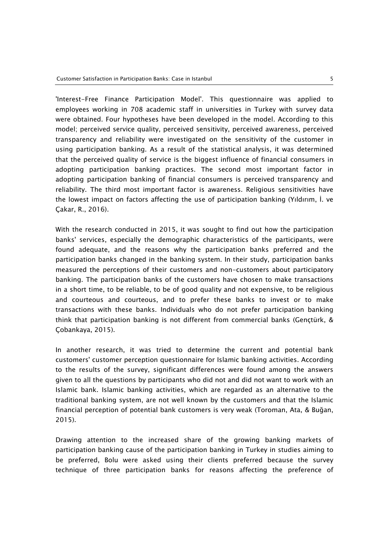'Interest-Free Finance Participation Model'. This questionnaire was applied to employees working in 708 academic staff in universities in Turkey with survey data were obtained. Four hypotheses have been developed in the model. According to this model; perceived service quality, perceived sensitivity, perceived awareness, perceived transparency and reliability were investigated on the sensitivity of the customer in using participation banking. As a result of the statistical analysis, it was determined that the perceived quality of service is the biggest influence of financial consumers in adopting participation banking practices. The second most important factor in adopting participation banking of financial consumers is perceived transparency and reliability. The third most important factor is awareness. Religious sensitivities have the lowest impact on factors affecting the use of participation banking (Yıldırım, İ. ve Çakar, R., 2016).

With the research conducted in 2015, it was sought to find out how the participation banks' services, especially the demographic characteristics of the participants, were found adequate, and the reasons why the participation banks preferred and the participation banks changed in the banking system. In their study, participation banks measured the perceptions of their customers and non-customers about participatory banking. The participation banks of the customers have chosen to make transactions in a short time, to be reliable, to be of good quality and not expensive, to be religious and courteous and courteous, and to prefer these banks to invest or to make transactions with these banks. Individuals who do not prefer participation banking think that participation banking is not different from commercial banks (Gençtürk, & Çobankaya, 2015).

In another research, it was tried to determine the current and potential bank customers' customer perception questionnaire for Islamic banking activities. According to the results of the survey, significant differences were found among the answers given to all the questions by participants who did not and did not want to work with an Islamic bank. Islamic banking activities, which are regarded as an alternative to the traditional banking system, are not well known by the customers and that the Islamic financial perception of potential bank customers is very weak (Toroman, Ata, & Buğan, 2015).

Drawing attention to the increased share of the growing banking markets of participation banking cause of the participation banking in Turkey in studies aiming to be preferred, Bolu were asked using their clients preferred because the survey technique of three participation banks for reasons affecting the preference of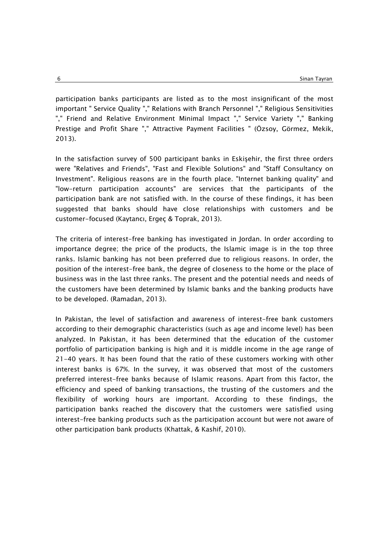participation banks participants are listed as to the most insignificant of the most important " Service Quality "," Relations with Branch Personnel "," Religious Sensitivities "," Friend and Relative Environment Minimal Impact "," Service Variety "," Banking Prestige and Profit Share "," Attractive Payment Facilities " (Özsoy, Görmez, Mekik, 2013).

In the satisfaction survey of 500 participant banks in Eskişehir, the first three orders were "Relatives and Friends", "Fast and Flexible Solutions" and "Staff Consultancy on Investment". Religious reasons are in the fourth place. "Internet banking quality" and "low-return participation accounts" are services that the participants of the participation bank are not satisfied with. In the course of these findings, it has been suggested that banks should have close relationships with customers and be customer-focused (Kaytancı, Ergeç & Toprak, 2013).

The criteria of interest-free banking has investigated in Jordan. In order according to importance degree; the price of the products, the Islamic image is in the top three ranks. Islamic banking has not been preferred due to religious reasons. In order, the position of the interest-free bank, the degree of closeness to the home or the place of business was in the last three ranks. The present and the potential needs and needs of the customers have been determined by Islamic banks and the banking products have to be developed. (Ramadan, 2013).

In Pakistan, the level of satisfaction and awareness of interest-free bank customers according to their demographic characteristics (such as age and income level) has been analyzed. In Pakistan, it has been determined that the education of the customer portfolio of participation banking is high and it is middle income in the age range of 21-40 years. It has been found that the ratio of these customers working with other interest banks is 67%. In the survey, it was observed that most of the customers preferred interest-free banks because of Islamic reasons. Apart from this factor, the efficiency and speed of banking transactions, the trusting of the customers and the flexibility of working hours are important. According to these findings, the participation banks reached the discovery that the customers were satisfied using interest-free banking products such as the participation account but were not aware of other participation bank products (Khattak, & Kashif, 2010).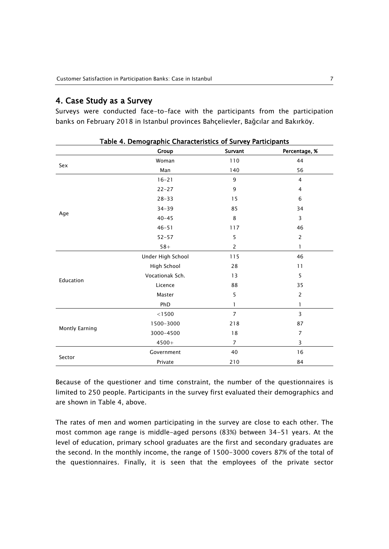### 4. Case Study as a Survey

Surveys were conducted face-to-face with the participants from the participation banks on February 2018 in Istanbul provinces Bahçelievler, Bağcılar and Bakırköy.

|                | Table 4. Demographic Characteristics of Survey Farticipants<br>Group | Survant        | Percentage, %  |
|----------------|----------------------------------------------------------------------|----------------|----------------|
|                | Woman                                                                | 110            | 44             |
| Sex            | Man                                                                  | 140            | 56             |
|                | $16 - 21$                                                            | 9              | $\overline{4}$ |
|                | $22 - 27$                                                            | 9              | $\overline{4}$ |
|                | $28 - 33$                                                            | 15             | 6              |
|                | $34 - 39$                                                            | 85             | 34             |
| Age            | $40 - 45$                                                            | 8              | 3              |
|                | $46 - 51$                                                            | 117            | 46             |
|                | $52 - 57$                                                            | 5              | $\overline{2}$ |
|                | $58 +$                                                               | $\overline{2}$ | $\mathbf{1}$   |
| Education      | Under High School                                                    | 115            | 46             |
|                | High School                                                          | 28             | 11             |
|                | Vocationak Sch.                                                      | 13             | 5              |
|                | Licence                                                              | 88             | 35             |
|                | Master                                                               | 5              | $\overline{2}$ |
|                | PhD                                                                  | 1              | $\mathbf{1}$   |
|                | $<$ l $500$                                                          | $\overline{7}$ | 3              |
| Montly Earning | 1500-3000                                                            | 218            | 87             |
|                | 3000-4500                                                            | $18\,$         | $\overline{7}$ |
|                | $4500+$                                                              | $\overline{7}$ | 3              |
|                | Government                                                           | 40             | 16             |
| Sector         | Private                                                              | 210            | 84             |

Table 4. Demographic Characteristics of Survey Participants

Because of the questioner and time constraint, the number of the questionnaires is limited to 250 people. Participants in the survey first evaluated their demographics and are shown in Table 4, above.

The rates of men and women participating in the survey are close to each other. The most common age range is middle-aged persons (83%) between 34-51 years. At the level of education, primary school graduates are the first and secondary graduates are the second. In the monthly income, the range of 1500-3000 covers 87% of the total of the questionnaires. Finally, it is seen that the employees of the private sector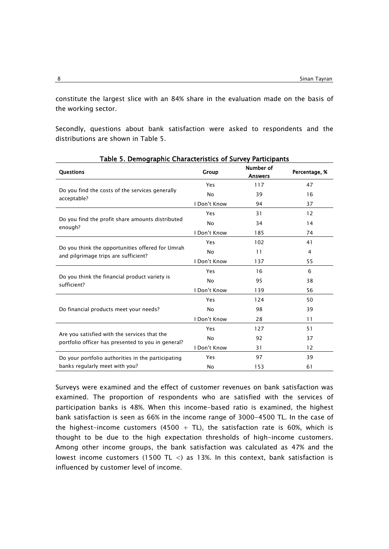constitute the largest slice with an 84% share in the evaluation made on the basis of the working sector.

Secondly, questions about bank satisfaction were asked to respondents and the distributions are shown in Table 5.

| rabic 9: Demographic enaracteristics or survey rarticipants<br><b>Questions</b>                    | Group        | Number of<br><b>Answers</b>                            | Percentage, %  |
|----------------------------------------------------------------------------------------------------|--------------|--------------------------------------------------------|----------------|
|                                                                                                    | Yes          | 117                                                    | 47             |
| Do you find the costs of the services generally                                                    | <b>No</b>    | 39                                                     | 16             |
| acceptable?                                                                                        | I Don't Know | 94                                                     | 37             |
|                                                                                                    | Yes          | 31                                                     | 12             |
| Do you find the profit share amounts distributed                                                   | <b>No</b>    | 34                                                     | 14             |
| enough?                                                                                            | I Don't Know | 185                                                    | 74             |
|                                                                                                    | Yes          | 102                                                    | 41             |
| Do you think the opportunities offered for Umrah<br>and pilgrimage trips are sufficient?           | <b>No</b>    | 11                                                     | $\overline{4}$ |
|                                                                                                    | I Don't Know | 137                                                    | 55             |
|                                                                                                    | Yes          | 16                                                     | 6              |
| Do you think the financial product variety is<br>sufficient?                                       | No           | 95                                                     | 38             |
|                                                                                                    | I Don't Know | 139<br>124<br>98<br>28<br>127<br>92<br>31<br>97<br>153 | 56             |
|                                                                                                    | Yes          |                                                        | 50             |
| Do financial products meet your needs?                                                             | No           |                                                        | 39             |
|                                                                                                    | I Don't Know |                                                        | 11             |
|                                                                                                    | Yes          |                                                        | 51             |
| Are you satisfied with the services that the<br>portfolio officer has presented to you in general? | <b>No</b>    |                                                        | 37             |
|                                                                                                    | I Don't Know |                                                        | 12             |
| Do your portfolio authorities in the participating                                                 | Yes          |                                                        | 39             |
| banks regularly meet with you?                                                                     | No           |                                                        | 61             |

Table 5. Demographic Characteristics of Survey Participants

Surveys were examined and the effect of customer revenues on bank satisfaction was examined. The proportion of respondents who are satisfied with the services of participation banks is 48%. When this income-based ratio is examined, the highest bank satisfaction is seen as 66% in the income range of 3000-4500 TL. In the case of the highest-income customers (4500 + TL), the satisfaction rate is 60%, which is thought to be due to the high expectation thresholds of high-income customers. Among other income groups, the bank satisfaction was calculated as 47% and the lowest income customers (1500 TL <) as 13%. In this context, bank satisfaction is influenced by customer level of income.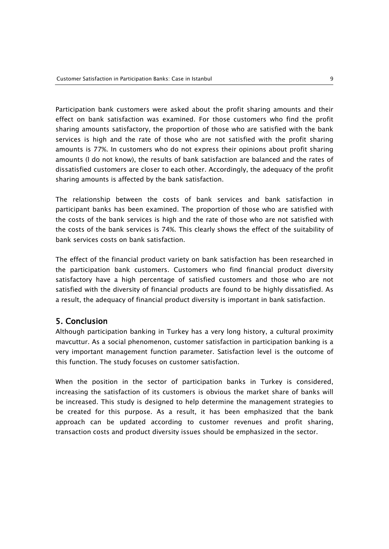Participation bank customers were asked about the profit sharing amounts and their effect on bank satisfaction was examined. For those customers who find the profit sharing amounts satisfactory, the proportion of those who are satisfied with the bank services is high and the rate of those who are not satisfied with the profit sharing amounts is 77%. In customers who do not express their opinions about profit sharing amounts (I do not know), the results of bank satisfaction are balanced and the rates of dissatisfied customers are closer to each other. Accordingly, the adequacy of the profit sharing amounts is affected by the bank satisfaction.

The relationship between the costs of bank services and bank satisfaction in participant banks has been examined. The proportion of those who are satisfied with the costs of the bank services is high and the rate of those who are not satisfied with the costs of the bank services is 74%. This clearly shows the effect of the suitability of bank services costs on bank satisfaction.

The effect of the financial product variety on bank satisfaction has been researched in the participation bank customers. Customers who find financial product diversity satisfactory have a high percentage of satisfied customers and those who are not satisfied with the diversity of financial products are found to be highly dissatisfied. As a result, the adequacy of financial product diversity is important in bank satisfaction.

## 5. Conclusion

Although participation banking in Turkey has a very long history, a cultural proximity mavcuttur. As a social phenomenon, customer satisfaction in participation banking is a very important management function parameter. Satisfaction level is the outcome of this function. The study focuses on customer satisfaction.

When the position in the sector of participation banks in Turkey is considered, increasing the satisfaction of its customers is obvious the market share of banks will be increased. This study is designed to help determine the management strategies to be created for this purpose. As a result, it has been emphasized that the bank approach can be updated according to customer revenues and profit sharing, transaction costs and product diversity issues should be emphasized in the sector.